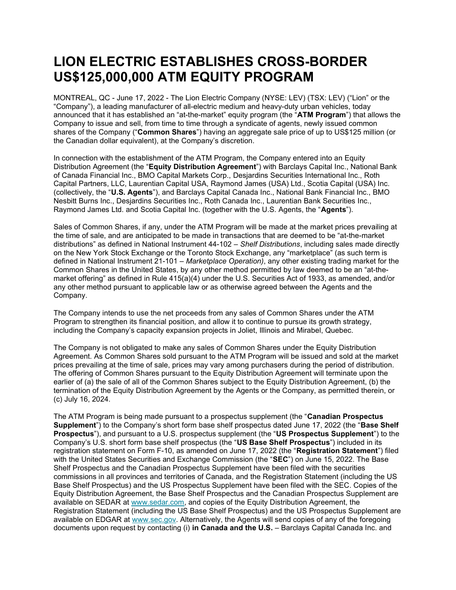## LION ELECTRIC ESTABLISHES CROSS-BORDER US\$125,000,000 ATM EQUITY PROGRAM

MONTREAL, QC - June 17, 2022 - The Lion Electric Company (NYSE: LEV) (TSX: LEV) ("Lion" or the "Company"), a leading manufacturer of all-electric medium and heavy-duty urban vehicles, today announced that it has established an "at-the-market" equity program (the "ATM Program") that allows the Company to issue and sell, from time to time through a syndicate of agents, newly issued common shares of the Company ("Common Shares") having an aggregate sale price of up to US\$125 million (or the Canadian dollar equivalent), at the Company's discretion.

In connection with the establishment of the ATM Program, the Company entered into an Equity Distribution Agreement (the "Equity Distribution Agreement") with Barclays Capital Inc., National Bank of Canada Financial Inc., BMO Capital Markets Corp., Desjardins Securities International Inc., Roth Capital Partners, LLC, Laurentian Capital USA, Raymond James (USA) Ltd., Scotia Capital (USA) Inc. (collectively, the "U.S. Agents"), and Barclays Capital Canada Inc., National Bank Financial Inc., BMO Nesbitt Burns Inc., Desjardins Securities Inc., Roth Canada Inc., Laurentian Bank Securities Inc., Raymond James Ltd. and Scotia Capital Inc. (together with the U.S. Agents, the "Agents").

Sales of Common Shares, if any, under the ATM Program will be made at the market prices prevailing at the time of sale, and are anticipated to be made in transactions that are deemed to be "at-the-market distributions" as defined in National Instrument 44-102 – Shelf Distributions, including sales made directly on the New York Stock Exchange or the Toronto Stock Exchange, any "marketplace" (as such term is defined in National Instrument 21-101 – Marketplace Operation), any other existing trading market for the Common Shares in the United States, by any other method permitted by law deemed to be an "at-themarket offering" as defined in Rule 415(a)(4) under the U.S. Securities Act of 1933, as amended, and/or any other method pursuant to applicable law or as otherwise agreed between the Agents and the Company.

The Company intends to use the net proceeds from any sales of Common Shares under the ATM Program to strengthen its financial position, and allow it to continue to pursue its growth strategy, including the Company's capacity expansion projects in Joliet, Illinois and Mirabel, Quebec.

The Company is not obligated to make any sales of Common Shares under the Equity Distribution Agreement. As Common Shares sold pursuant to the ATM Program will be issued and sold at the market prices prevailing at the time of sale, prices may vary among purchasers during the period of distribution. The offering of Common Shares pursuant to the Equity Distribution Agreement will terminate upon the earlier of (a) the sale of all of the Common Shares subject to the Equity Distribution Agreement, (b) the termination of the Equity Distribution Agreement by the Agents or the Company, as permitted therein, or (c) July 16, 2024.

The ATM Program is being made pursuant to a prospectus supplement (the "Canadian Prospectus Supplement") to the Company's short form base shelf prospectus dated June 17, 2022 (the "Base Shelf Prospectus"), and pursuant to a U.S. prospectus supplement (the "US Prospectus Supplement") to the Company's U.S. short form base shelf prospectus (the "US Base Shelf Prospectus") included in its registration statement on Form F-10, as amended on June 17, 2022 (the "Registration Statement") filed with the United States Securities and Exchange Commission (the "SEC") on June 15, 2022. The Base Shelf Prospectus and the Canadian Prospectus Supplement have been filed with the securities commissions in all provinces and territories of Canada, and the Registration Statement (including the US Base Shelf Prospectus) and the US Prospectus Supplement have been filed with the SEC. Copies of the Equity Distribution Agreement, the Base Shelf Prospectus and the Canadian Prospectus Supplement are available on SEDAR at www.sedar.com, and copies of the Equity Distribution Agreement, the Registration Statement (including the US Base Shelf Prospectus) and the US Prospectus Supplement are available on EDGAR at www.sec.gov. Alternatively, the Agents will send copies of any of the foregoing documents upon request by contacting (i) in Canada and the U.S. - Barclays Capital Canada Inc. and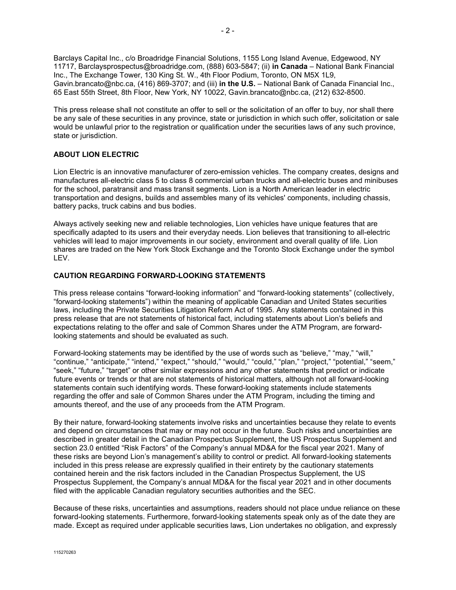Barclays Capital Inc., c/o Broadridge Financial Solutions, 1155 Long Island Avenue, Edgewood, NY 11717, Barclaysprospectus@broadridge.com, (888) 603-5847; (ii) in Canada – National Bank Financial Inc., The Exchange Tower, 130 King St. W., 4th Floor Podium, Toronto, ON M5X 1L9, Gavin.brancato@nbc.ca, (416) 869-3707; and (iii) in the U.S. - National Bank of Canada Financial Inc., 65 East 55th Street, 8th Floor, New York, NY 10022, Gavin.brancato@nbc.ca, (212) 632-8500.

This press release shall not constitute an offer to sell or the solicitation of an offer to buy, nor shall there be any sale of these securities in any province, state or jurisdiction in which such offer, solicitation or sale would be unlawful prior to the registration or qualification under the securities laws of any such province, state or jurisdiction.

## ABOUT LION ELECTRIC

Lion Electric is an innovative manufacturer of zero-emission vehicles. The company creates, designs and manufactures all-electric class 5 to class 8 commercial urban trucks and all-electric buses and minibuses for the school, paratransit and mass transit segments. Lion is a North American leader in electric transportation and designs, builds and assembles many of its vehicles' components, including chassis, battery packs, truck cabins and bus bodies.

Always actively seeking new and reliable technologies, Lion vehicles have unique features that are specifically adapted to its users and their everyday needs. Lion believes that transitioning to all-electric vehicles will lead to major improvements in our society, environment and overall quality of life. Lion shares are traded on the New York Stock Exchange and the Toronto Stock Exchange under the symbol LEV.

## CAUTION REGARDING FORWARD-LOOKING STATEMENTS

This press release contains "forward-looking information" and "forward-looking statements" (collectively, "forward-looking statements") within the meaning of applicable Canadian and United States securities laws, including the Private Securities Litigation Reform Act of 1995. Any statements contained in this press release that are not statements of historical fact, including statements about Lion's beliefs and expectations relating to the offer and sale of Common Shares under the ATM Program, are forwardlooking statements and should be evaluated as such.

Forward-looking statements may be identified by the use of words such as "believe," "may," "will," "continue," "anticipate," "intend," "expect," "should," "would," "could," "plan," "project," "potential," "seem," "seek," "future," "target" or other similar expressions and any other statements that predict or indicate future events or trends or that are not statements of historical matters, although not all forward-looking statements contain such identifying words. These forward-looking statements include statements regarding the offer and sale of Common Shares under the ATM Program, including the timing and amounts thereof, and the use of any proceeds from the ATM Program.

By their nature, forward-looking statements involve risks and uncertainties because they relate to events and depend on circumstances that may or may not occur in the future. Such risks and uncertainties are described in greater detail in the Canadian Prospectus Supplement, the US Prospectus Supplement and section 23.0 entitled "Risk Factors" of the Company's annual MD&A for the fiscal year 2021. Many of these risks are beyond Lion's management's ability to control or predict. All forward-looking statements included in this press release are expressly qualified in their entirety by the cautionary statements contained herein and the risk factors included in the Canadian Prospectus Supplement, the US Prospectus Supplement, the Company's annual MD&A for the fiscal year 2021 and in other documents filed with the applicable Canadian regulatory securities authorities and the SEC.

Because of these risks, uncertainties and assumptions, readers should not place undue reliance on these forward-looking statements. Furthermore, forward-looking statements speak only as of the date they are made. Except as required under applicable securities laws, Lion undertakes no obligation, and expressly